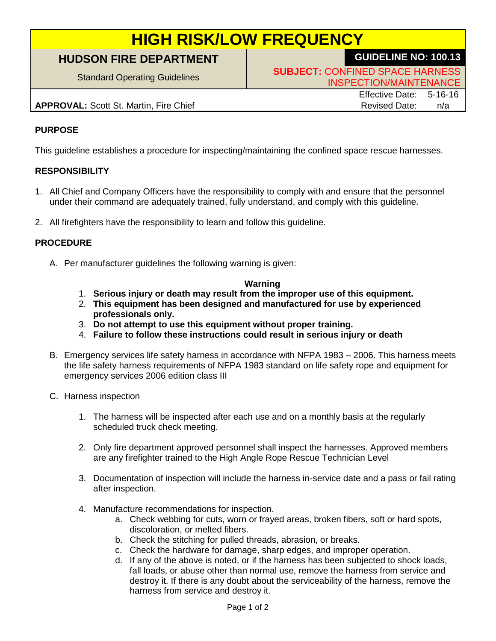# **HIGH RISK/LOW FREQUENCY**

# **HUDSON FIRE DEPARTMENT GUIDELINE NO: 100.13**

Standard Operating Guidelines **SUBJECT:** CONFINED SPACE HARNESS INSPECTION/MAINTENANCE

## **APPROVAL:** Scott St. Martin, Fire Chief Revised Date: n/a

Effective Date: 5-16-16

## **PURPOSE**

This guideline establishes a procedure for inspecting/maintaining the confined space rescue harnesses.

#### **RESPONSIBILITY**

- 1. All Chief and Company Officers have the responsibility to comply with and ensure that the personnel under their command are adequately trained, fully understand, and comply with this guideline.
- 2. All firefighters have the responsibility to learn and follow this guideline.

#### **PROCEDURE**

A. Per manufacturer guidelines the following warning is given:

#### **Warning**

- 1. **Serious injury or death may result from the improper use of this equipment.**
- 2. **This equipment has been designed and manufactured for use by experienced professionals only.**
- 3. **Do not attempt to use this equipment without proper training.**
- 4. **Failure to follow these instructions could result in serious injury or death**
- B. Emergency services life safety harness in accordance with NFPA 1983 2006. This harness meets the life safety harness requirements of NFPA 1983 standard on life safety rope and equipment for emergency services 2006 edition class III
- C. Harness inspection
	- 1. The harness will be inspected after each use and on a monthly basis at the regularly scheduled truck check meeting.
	- 2. Only fire department approved personnel shall inspect the harnesses. Approved members are any firefighter trained to the High Angle Rope Rescue Technician Level
	- 3. Documentation of inspection will include the harness in-service date and a pass or fail rating after inspection.
	- 4. Manufacture recommendations for inspection.
		- a. Check webbing for cuts, worn or frayed areas, broken fibers, soft or hard spots, discoloration, or melted fibers.
		- b. Check the stitching for pulled threads, abrasion, or breaks.
		- c. Check the hardware for damage, sharp edges, and improper operation.
		- d. If any of the above is noted, or if the harness has been subjected to shock loads, fall loads, or abuse other than normal use, remove the harness from service and destroy it. If there is any doubt about the serviceability of the harness, remove the harness from service and destroy it.